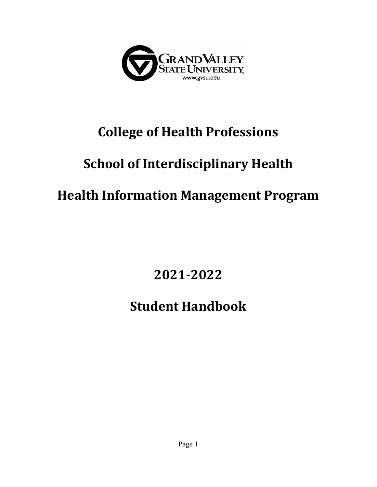

# **College of Health Professions**

# **School of Interdisciplinary Health**

# **Health Information Management Program**

**2021-2022**

# **Student Handbook**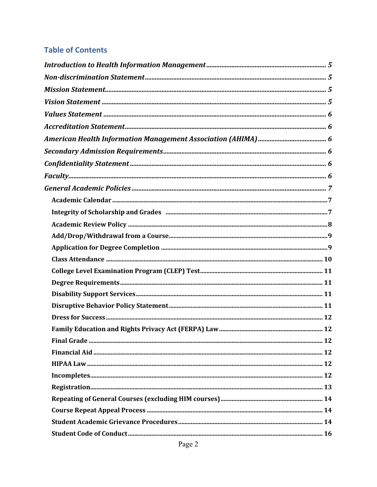## **Table of Contents**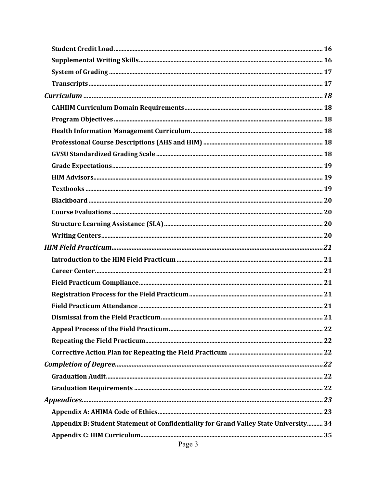| Appendix B: Student Statement of Confidentiality for Grand Valley State University 34 |  |
|---------------------------------------------------------------------------------------|--|
|                                                                                       |  |
| Page 3                                                                                |  |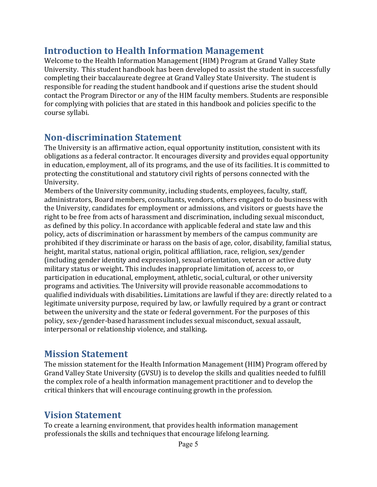## **Introduction to Health Information Management**

Welcome to the Health Information Management (HIM) Program at Grand Valley State University. This student handbook has been developed to assist the student in successfully completing their baccalaureate degree at Grand Valley State University. The student is responsible for reading the student handbook and if questions arise the student should contact the Program Director or any of the HIM faculty members. Students are responsible for complying with policies that are stated in this handbook and policies specific to the course syllabi.

# **Non-discrimination Statement**

The University is an affirmative action, equal opportunity institution, consistent with its obligations as a federal contractor. It encourages diversity and provides equal opportunity in education, employment, all of its programs, and the use of its facilities. It is committed to protecting the constitutional and statutory civil rights of persons connected with the University.

Members of the University community, including students, employees, faculty, staff, administrators, Board members, consultants, vendors, others engaged to do business with the University, candidates for employment or admissions, and visitors or guests have the right to be free from acts of harassment and discrimination, including sexual misconduct, as defined by this policy. In accordance with applicable federal and state law and this policy, acts of discrimination or harassment by members of the campus community are prohibited if they discriminate or harass on the basis of age, color, disability, familial status, height, marital status, national origin, political affiliation, race, religion, sex/gender (including gender identity and expression), sexual orientation, veteran or active duty military status or weight. This includes inappropriate limitation of, access to, or participation in educational, employment, athletic, social, cultural, or other university programs and activities. The University will provide reasonable accommodations to qualified individuals with disabilities. Limitations are lawful if they are: directly related to a legitimate university purpose, required by law, or lawfully required by a grant or contract between the university and the state or federal government. For the purposes of this policy, sex-/gender-based harassment includes sexual misconduct, sexual assault, interpersonal or relationship violence, and stalking.

# **Mission Statement**

The mission statement for the Health Information Management (HIM) Program offered by Grand Valley State University (GVSU) is to develop the skills and qualities needed to fulfill the complex role of a health information management practitioner and to develop the critical thinkers that will encourage continuing growth in the profession.

# **Vision Statement**

To create a learning environment, that provides health information management professionals the skills and techniques that encourage lifelong learning.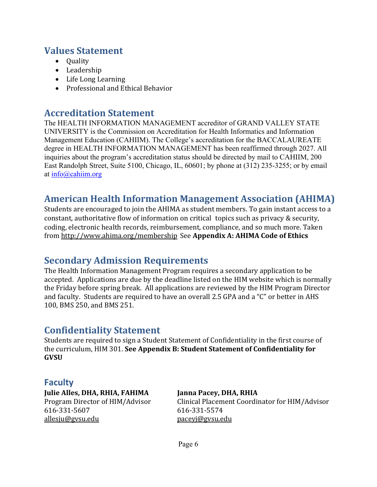# **Values Statement**

- Quality
- Leadership
- Life Long Learning
- Professional and Ethical Behavior

## **Accreditation Statement**

The HEALTH INFORMATION MANAGEMENT accreditor of GRAND VALLEY STATE UNIVERSITY is the Commission on Accreditation for Health Informatics and Information Management Education (CAHIIM). The College's accreditation for the BACCALAUREATE degree in HEALTH INFORMATION MANAGEMENT has been reaffirmed through 2027. All inquiries about the program's accreditation status should be directed by mail to CAHIIM, 200 East Randolph Street, Suite 5100, Chicago, IL, 60601; by phone at (312) 235-3255; or by email at info@cahiim.org

# **American Health Information Management Association (AHIMA)**

Students are encouraged to join the AHIMA as student members. To gain instant access to a constant, authoritative flow of information on critical topics such as privacy & security, coding, electronic health records, reimbursement, compliance, and so much more. Taken from http://www.ahima.org/membership See Appendix A: AHIMA Code of Ethics

# **Secondary Admission Requirements**

The Health Information Management Program requires a secondary application to be accepted. Applications are due by the deadline listed on the HIM website which is normally the Friday before spring break. All applications are reviewed by the HIM Program Director and faculty. Students are required to have an overall 2.5 GPA and a "C" or better in AHS 100, BMS 250, and BMS 251.

# **Confidentiality Statement**

Students are required to sign a Student Statement of Confidentiality in the first course of the curriculum, HIM 301. See Appendix B: Student Statement of Confidentiality for **GVSU**

## **Faculty**

**Julie Alles, DHA, RHIA, FAHIMA Janna Pacey, DHA, RHIA** 616-331-5607 616-331-5574 allesju@gvsu.edu paceyj@gvsu.edu

Program Director of HIM/Advisor Clinical Placement Coordinator for HIM/Advisor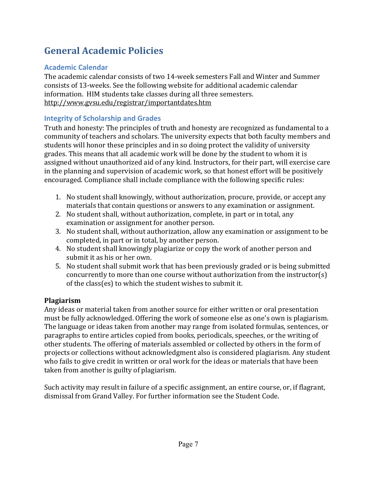# **General Academic Policies**

## **Academic Calendar**

The academic calendar consists of two 14-week semesters Fall and Winter and Summer consists of 13-weeks. See the following website for additional academic calendar information. HIM students take classes during all three semesters. http://www.gvsu.edu/registrar/importantdates.htm

## **Integrity of Scholarship and Grades**

Truth and honesty: The principles of truth and honesty are recognized as fundamental to a community of teachers and scholars. The university expects that both faculty members and students will honor these principles and in so doing protect the validity of university grades. This means that all academic work will be done by the student to whom it is assigned without unauthorized aid of any kind. Instructors, for their part, will exercise care in the planning and supervision of academic work, so that honest effort will be positively encouraged. Compliance shall include compliance with the following specific rules:

- 1. No student shall knowingly, without authorization, procure, provide, or accept any materials that contain questions or answers to any examination or assignment.
- 2. No student shall, without authorization, complete, in part or in total, any examination or assignment for another person.
- 3. No student shall, without authorization, allow any examination or assignment to be completed, in part or in total, by another person.
- 4. No student shall knowingly plagiarize or copy the work of another person and submit it as his or her own.
- 5. No student shall submit work that has been previously graded or is being submitted concurrently to more than one course without authorization from the instructor(s) of the class(es) to which the student wishes to submit it.

## **Plagiarism**

Any ideas or material taken from another source for either written or oral presentation must be fully acknowledged. Offering the work of someone else as one's own is plagiarism. The language or ideas taken from another may range from isolated formulas, sentences, or paragraphs to entire articles copied from books, periodicals, speeches, or the writing of other students. The offering of materials assembled or collected by others in the form of projects or collections without acknowledgment also is considered plagiarism. Any student who fails to give credit in written or oral work for the ideas or materials that have been taken from another is guilty of plagiarism.

Such activity may result in failure of a specific assignment, an entire course, or, if flagrant, dismissal from Grand Valley. For further information see the Student Code.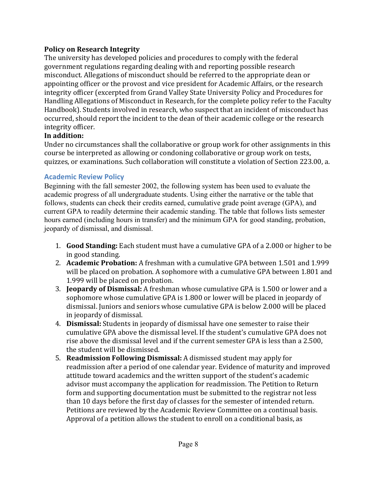#### **Policy on Research Integrity**

The university has developed policies and procedures to comply with the federal government regulations regarding dealing with and reporting possible research misconduct. Allegations of misconduct should be referred to the appropriate dean or appointing officer or the provost and vice president for Academic Affairs, or the research integrity officer (excerpted from Grand Valley State University Policy and Procedures for Handling Allegations of Misconduct in Research, for the complete policy refer to the Faculty Handbook). Students involved in research, who suspect that an incident of misconduct has occurred, should report the incident to the dean of their academic college or the research integrity officer.

#### **In addition:**

Under no circumstances shall the collaborative or group work for other assignments in this course be interpreted as allowing or condoning collaborative or group work on tests, quizzes, or examinations. Such collaboration will constitute a violation of Section 223.00, a.

#### **Academic Review Policy**

Beginning with the fall semester 2002, the following system has been used to evaluate the academic progress of all undergraduate students. Using either the narrative or the table that follows, students can check their credits earned, cumulative grade point average (GPA), and current GPA to readily determine their academic standing. The table that follows lists semester hours earned (including hours in transfer) and the minimum GPA for good standing, probation, jeopardy of dismissal, and dismissal.

- 1. **Good Standing:** Each student must have a cumulative GPA of a 2.000 or higher to be in good standing.
- 2. **Academic Probation:** A freshman with a cumulative GPA between 1.501 and 1.999 will be placed on probation. A sophomore with a cumulative GPA between 1.801 and 1.999 will be placed on probation.
- 3. **Jeopardy of Dismissal:** A freshman whose cumulative GPA is 1.500 or lower and a sophomore whose cumulative GPA is 1.800 or lower will be placed in jeopardy of dismissal. Juniors and seniors whose cumulative GPA is below 2.000 will be placed in jeopardy of dismissal.
- 4. **Dismissal:** Students in jeopardy of dismissal have one semester to raise their cumulative GPA above the dismissal level. If the student's cumulative GPA does not rise above the dismissal level and if the current semester GPA is less than a 2.500, the student will be dismissed.
- 5. **Readmission Following Dismissal:** A dismissed student may apply for readmission after a period of one calendar year. Evidence of maturity and improved attitude toward academics and the written support of the student's academic advisor must accompany the application for readmission. The Petition to Return form and supporting documentation must be submitted to the registrar not less than 10 days before the first day of classes for the semester of intended return. Petitions are reviewed by the Academic Review Committee on a continual basis. Approval of a petition allows the student to enroll on a conditional basis, as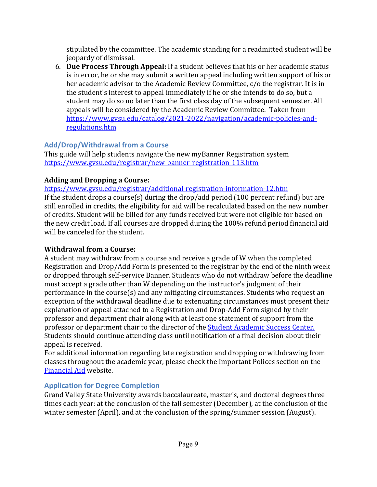stipulated by the committee. The academic standing for a readmitted student will be jeopardy of dismissal.

6. **Due Process Through Appeal:** If a student believes that his or her academic status is in error, he or she may submit a written appeal including written support of his or her academic advisor to the Academic Review Committee, c/o the registrar. It is in the student's interest to appeal immediately if he or she intends to do so, but a student may do so no later than the first class day of the subsequent semester. All appeals will be considered by the Academic Review Committee. Taken from https://www.gvsu.edu/catalog/2021-2022/navigation/academic-policies-andregulations.htm

#### **Add/Drop/Withdrawal from a Course**

This guide will help students navigate the new myBanner Registration system https://www.gvsu.edu/registrar/new-banner-registration-113.htm

#### **Adding and Dropping a Course:**

https://www.gvsu.edu/registrar/additional-registration-information-12.htm If the student drops a course(s) during the drop/add period (100 percent refund) but are still enrolled in credits, the eligibility for aid will be recalculated based on the new number of credits. Student will be billed for any funds received but were not eligible for based on the new credit load. If all courses are dropped during the 100% refund period financial aid will be canceled for the student.

#### **Withdrawal from a Course:**

A student may withdraw from a course and receive a grade of W when the completed Registration and Drop/Add Form is presented to the registrar by the end of the ninth week or dropped through self-service Banner. Students who do not withdraw before the deadline must accept a grade other than W depending on the instructor's judgment of their performance in the course(s) and any mitigating circumstances. Students who request an exception of the withdrawal deadline due to extenuating circumstances must present their explanation of appeal attached to a Registration and Drop-Add Form signed by their professor and department chair along with at least one statement of support from the professor or department chair to the director of the **Student Academic Success Center.** Students should continue attending class until notification of a final decision about their appeal is received.

For additional information regarding late registration and dropping or withdrawing from classes throughout the academic year, please check the Important Polices section on the Financial Aid website.

#### **Application for Degree Completion**

Grand Valley State University awards baccalaureate, master's, and doctoral degrees three times each year: at the conclusion of the fall semester (December), at the conclusion of the winter semester (April), and at the conclusion of the spring/summer session (August).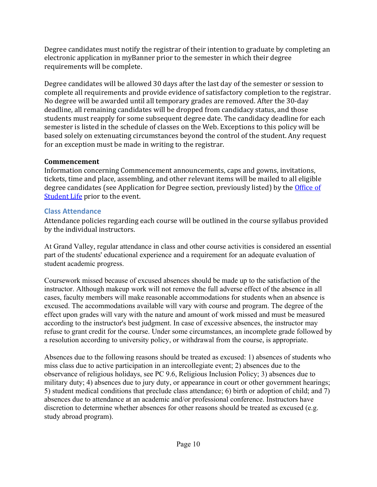Degree candidates must notify the registrar of their intention to graduate by completing an electronic application in myBanner prior to the semester in which their degree requirements will be complete.

Degree candidates will be allowed 30 days after the last day of the semester or session to complete all requirements and provide evidence of satisfactory completion to the registrar. No degree will be awarded until all temporary grades are removed. After the 30-day deadline, all remaining candidates will be dropped from candidacy status, and those students must reapply for some subsequent degree date. The candidacy deadline for each semester is listed in the schedule of classes on the Web. Exceptions to this policy will be based solely on extenuating circumstances beyond the control of the student. Any request for an exception must be made in writing to the registrar.

#### **Commencement**

Information concerning Commencement announcements, caps and gowns, invitations, tickets, time and place, assembling, and other relevant items will be mailed to all eligible degree candidates (see Application for Degree section, previously listed) by the Office of Student Life prior to the event.

#### **Class Attendance**

Attendance policies regarding each course will be outlined in the course syllabus provided by the individual instructors.

At Grand Valley, regular attendance in class and other course activities is considered an essential part of the students' educational experience and a requirement for an adequate evaluation of student academic progress.

Coursework missed because of excused absences should be made up to the satisfaction of the instructor. Although makeup work will not remove the full adverse effect of the absence in all cases, faculty members will make reasonable accommodations for students when an absence is excused. The accommodations available will vary with course and program. The degree of the effect upon grades will vary with the nature and amount of work missed and must be measured according to the instructor's best judgment. In case of excessive absences, the instructor may refuse to grant credit for the course. Under some circumstances, an incomplete grade followed by a resolution according to university policy, or withdrawal from the course, is appropriate.

Absences due to the following reasons should be treated as excused: 1) absences of students who miss class due to active participation in an intercollegiate event; 2) absences due to the observance of religious holidays, see PC 9.6, Religious Inclusion Policy; 3) absences due to military duty; 4) absences due to jury duty, or appearance in court or other government hearings; 5) student medical conditions that preclude class attendance; 6) birth or adoption of child; and 7) absences due to attendance at an academic and/or professional conference. Instructors have discretion to determine whether absences for other reasons should be treated as excused (e.g. study abroad program).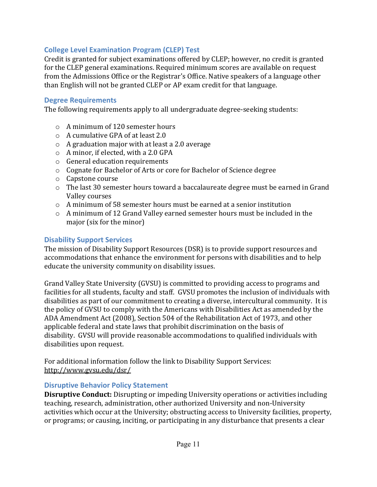#### **College Level Examination Program (CLEP) Test**

Credit is granted for subject examinations offered by CLEP; however, no credit is granted for the CLEP general examinations. Required minimum scores are available on request from the Admissions Office or the Registrar's Office. Native speakers of a language other than English will not be granted CLEP or AP exam credit for that language.

#### **Degree Requirements**

The following requirements apply to all undergraduate degree-seeking students:

- $\circ$  A minimum of 120 semester hours
- $\circ$  A cumulative GPA of at least 2.0
- $\circ$  A graduation major with at least a 2.0 average
- $\circ$  A minor, if elected, with a 2.0 GPA
- $\circ$  General education requirements
- $\circ$  Cognate for Bachelor of Arts or core for Bachelor of Science degree
- $\circ$  Capstone course
- $\circ$  The last 30 semester hours toward a baccalaureate degree must be earned in Grand Valley courses
- $\circ$  A minimum of 58 semester hours must be earned at a senior institution
- $\circ$  A minimum of 12 Grand Valley earned semester hours must be included in the major (six for the minor)

#### **Disability Support Services**

The mission of Disability Support Resources (DSR) is to provide support resources and accommodations that enhance the environment for persons with disabilities and to help educate the university community on disability issues.

Grand Valley State University (GVSU) is committed to providing access to programs and facilities for all students, faculty and staff. GVSU promotes the inclusion of individuals with disabilities as part of our commitment to creating a diverse, intercultural community. It is the policy of GVSU to comply with the Americans with Disabilities Act as amended by the ADA Amendment Act (2008), Section 504 of the Rehabilitation Act of 1973, and other applicable federal and state laws that prohibit discrimination on the basis of disability. GVSU will provide reasonable accommodations to qualified individuals with disabilities upon request.

For additional information follow the link to Disability Support Services: http://www.gvsu.edu/dsr/

#### **Disruptive Behavior Policy Statement**

**Disruptive Conduct:** Disrupting or impeding University operations or activities including teaching, research, administration, other authorized University and non-University activities which occur at the University; obstructing access to University facilities, property, or programs; or causing, inciting, or participating in any disturbance that presents a clear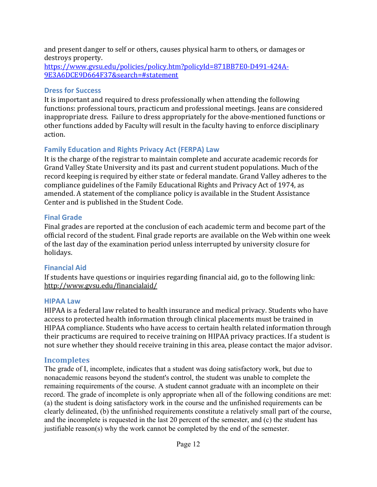and present danger to self or others, causes physical harm to others, or damages or destroys property.

https://www.gvsu.edu/policies/policy.htm?policyId=871BB7E0-D491-424A-9E3A6DCE9D664F37&search=#statement

#### **Dress for Success**

It is important and required to dress professionally when attending the following functions: professional tours, practicum and professional meetings. Jeans are considered inappropriate dress. Failure to dress appropriately for the above-mentioned functions or other functions added by Faculty will result in the faculty having to enforce disciplinary action. 

#### **Family Education and Rights Privacy Act (FERPA) Law**

It is the charge of the registrar to maintain complete and accurate academic records for Grand Valley State University and its past and current student populations. Much of the record keeping is required by either state or federal mandate. Grand Valley adheres to the compliance guidelines of the Family Educational Rights and Privacy Act of 1974, as amended. A statement of the compliance policy is available in the Student Assistance Center and is published in the Student Code.

#### **Final Grade**

Final grades are reported at the conclusion of each academic term and become part of the official record of the student. Final grade reports are available on the Web within one week of the last day of the examination period unless interrupted by university closure for holidays.

#### **Financial Aid**

If students have questions or inquiries regarding financial aid, go to the following link: http://www.gvsu.edu/financialaid/

#### **HIPAA Law**

HIPAA is a federal law related to health insurance and medical privacy. Students who have access to protected health information through clinical placements must be trained in HIPAA compliance. Students who have access to certain health related information through their practicums are required to receive training on HIPAA privacy practices. If a student is not sure whether they should receive training in this area, please contact the major advisor.

#### **Incompletes**

The grade of I, incomplete, indicates that a student was doing satisfactory work, but due to nonacademic reasons beyond the student's control, the student was unable to complete the remaining requirements of the course. A student cannot graduate with an incomplete on their record. The grade of incomplete is only appropriate when all of the following conditions are met: (a) the student is doing satisfactory work in the course and the unfinished requirements can be clearly delineated, (b) the unfinished requirements constitute a relatively small part of the course, and the incomplete is requested in the last 20 percent of the semester, and (c) the student has justifiable reason(s) why the work cannot be completed by the end of the semester.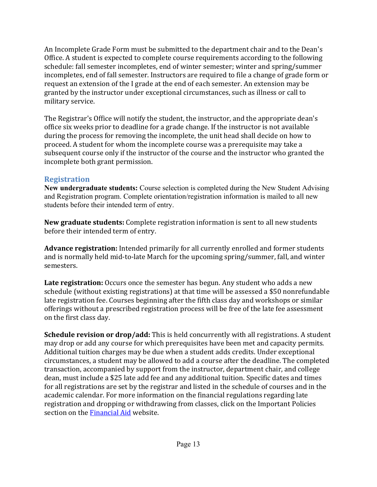An Incomplete Grade Form must be submitted to the department chair and to the Dean's Office. A student is expected to complete course requirements according to the following schedule: fall semester incompletes, end of winter semester; winter and spring/summer incompletes, end of fall semester. Instructors are required to file a change of grade form or request an extension of the I grade at the end of each semester. An extension may be granted by the instructor under exceptional circumstances, such as illness or call to military service.

The Registrar's Office will notify the student, the instructor, and the appropriate dean's office six weeks prior to deadline for a grade change. If the instructor is not available during the process for removing the incomplete, the unit head shall decide on how to proceed. A student for whom the incomplete course was a prerequisite may take a subsequent course only if the instructor of the course and the instructor who granted the incomplete both grant permission.

#### **Registration**

**New undergraduate students:** Course selection is completed during the New Student Advising and Registration program. Complete orientation/registration information is mailed to all new students before their intended term of entry.

**New graduate students:** Complete registration information is sent to all new students before their intended term of entry.

**Advance registration:** Intended primarily for all currently enrolled and former students and is normally held mid-to-late March for the upcoming spring/summer, fall, and winter semesters.

**Late registration:** Occurs once the semester has begun. Any student who adds a new schedule (without existing registrations) at that time will be assessed a \$50 nonrefundable late registration fee. Courses beginning after the fifth class day and workshops or similar offerings without a prescribed registration process will be free of the late fee assessment on the first class day.

**Schedule revision or drop/add:** This is held concurrently with all registrations. A student may drop or add any course for which prerequisites have been met and capacity permits. Additional tuition charges may be due when a student adds credits. Under exceptional circumstances, a student may be allowed to add a course after the deadline. The completed transaction, accompanied by support from the instructor, department chair, and college dean, must include a \$25 late add fee and any additional tuition. Specific dates and times for all registrations are set by the registrar and listed in the schedule of courses and in the academic calendar. For more information on the financial regulations regarding late registration and dropping or withdrawing from classes, click on the Important Policies section on the Financial Aid website.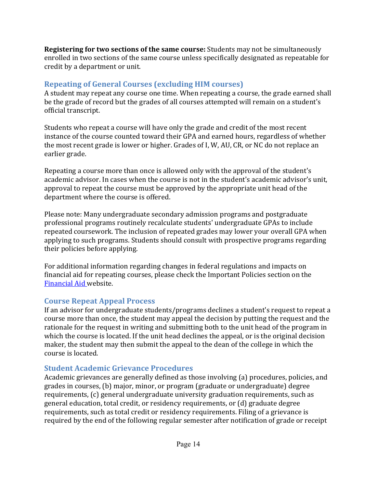**Registering for two sections of the same course:** Students may not be simultaneously enrolled in two sections of the same course unless specifically designated as repeatable for credit by a department or unit.

### **Repeating of General Courses (excluding HIM courses)**

A student may repeat any course one time. When repeating a course, the grade earned shall be the grade of record but the grades of all courses attempted will remain on a student's official transcript.

Students who repeat a course will have only the grade and credit of the most recent instance of the course counted toward their GPA and earned hours, regardless of whether the most recent grade is lower or higher. Grades of I, W, AU, CR, or NC do not replace an earlier grade.

Repeating a course more than once is allowed only with the approval of the student's academic advisor. In cases when the course is not in the student's academic advisor's unit, approval to repeat the course must be approved by the appropriate unit head of the department where the course is offered.

Please note: Many undergraduate secondary admission programs and postgraduate professional programs routinely recalculate students' undergraduate GPAs to include repeated coursework. The inclusion of repeated grades may lower your overall GPA when applying to such programs. Students should consult with prospective programs regarding their policies before applying.

For additional information regarding changes in federal regulations and impacts on financial aid for repeating courses, please check the Important Policies section on the Financial Aid website.

#### **Course Repeat Appeal Process**

If an advisor for undergraduate students/programs declines a student's request to repeat a course more than once, the student may appeal the decision by putting the request and the rationale for the request in writing and submitting both to the unit head of the program in which the course is located. If the unit head declines the appeal, or is the original decision maker, the student may then submit the appeal to the dean of the college in which the course is located.

#### **Student Academic Grievance Procedures**

Academic grievances are generally defined as those involving (a) procedures, policies, and grades in courses, (b) major, minor, or program (graduate or undergraduate) degree  $r_{\text{equirements}}$  (c) general undergraduate university graduation requirements, such as general education, total credit, or residency requirements, or (d) graduate degree requirements, such as total credit or residency requirements. Filing of a grievance is required by the end of the following regular semester after notification of grade or receipt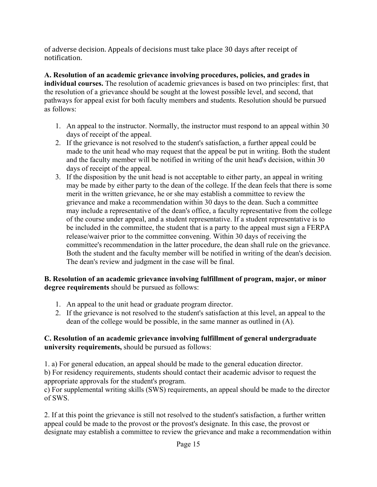of adverse decision. Appeals of decisions must take place 30 days after receipt of notification.

**A. Resolution of an academic grievance involving procedures, policies, and grades in individual courses.** The resolution of academic grievances is based on two principles: first, that the resolution of a grievance should be sought at the lowest possible level, and second, that pathways for appeal exist for both faculty members and students. Resolution should be pursued as follows:

- 1. An appeal to the instructor. Normally, the instructor must respond to an appeal within 30 days of receipt of the appeal.
- 2. If the grievance is not resolved to the student's satisfaction, a further appeal could be made to the unit head who may request that the appeal be put in writing. Both the student and the faculty member will be notified in writing of the unit head's decision, within 30 days of receipt of the appeal.
- 3. If the disposition by the unit head is not acceptable to either party, an appeal in writing may be made by either party to the dean of the college. If the dean feels that there is some merit in the written grievance, he or she may establish a committee to review the grievance and make a recommendation within 30 days to the dean. Such a committee may include a representative of the dean's office, a faculty representative from the college of the course under appeal, and a student representative. If a student representative is to be included in the committee, the student that is a party to the appeal must sign a FERPA release/waiver prior to the committee convening. Within 30 days of receiving the committee's recommendation in the latter procedure, the dean shall rule on the grievance. Both the student and the faculty member will be notified in writing of the dean's decision. The dean's review and judgment in the case will be final.

#### **B. Resolution of an academic grievance involving fulfillment of program, major, or minor degree requirements** should be pursued as follows:

- 1. An appeal to the unit head or graduate program director.
- 2. If the grievance is not resolved to the student's satisfaction at this level, an appeal to the dean of the college would be possible, in the same manner as outlined in (A).

#### **C. Resolution of an academic grievance involving fulfillment of general undergraduate university requirements,** should be pursued as follows:

1. a) For general education, an appeal should be made to the general education director. b) For residency requirements, students should contact their academic advisor to request the appropriate approvals for the student's program.

c) For supplemental writing skills (SWS) requirements, an appeal should be made to the director of SWS.

2. If at this point the grievance is still not resolved to the student's satisfaction, a further written appeal could be made to the provost or the provost's designate. In this case, the provost or designate may establish a committee to review the grievance and make a recommendation within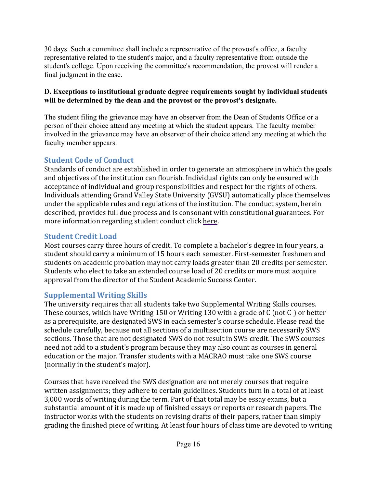30 days. Such a committee shall include a representative of the provost's office, a faculty representative related to the student's major, and a faculty representative from outside the student's college. Upon receiving the committee's recommendation, the provost will render a final judgment in the case.

#### **D. Exceptions to institutional graduate degree requirements sought by individual students will be determined by the dean and the provost or the provost's designate.**

The student filing the grievance may have an observer from the Dean of Students Office or a person of their choice attend any meeting at which the student appears. The faculty member involved in the grievance may have an observer of their choice attend any meeting at which the faculty member appears.

#### **Student Code of Conduct**

Standards of conduct are established in order to generate an atmosphere in which the goals and objectives of the institution can flourish. Individual rights can only be ensured with acceptance of individual and group responsibilities and respect for the rights of others. Individuals attending Grand Valley State University (GVSU) automatically place themselves under the applicable rules and regulations of the institution. The conduct system, herein described, provides full due process and is consonant with constitutional guarantees. For more information regarding student conduct click here.

#### **Student Credit Load**

Most courses carry three hours of credit. To complete a bachelor's degree in four years, a student should carry a minimum of 15 hours each semester. First-semester freshmen and students on academic probation may not carry loads greater than 20 credits per semester. Students who elect to take an extended course load of 20 credits or more must acquire approval from the director of the Student Academic Success Center.

#### **Supplemental Writing Skills**

The university requires that all students take two Supplemental Writing Skills courses. These courses, which have Writing 150 or Writing 130 with a grade of  $C$  (not  $C$ -) or better as a prerequisite, are designated SWS in each semester's course schedule. Please read the schedule carefully, because not all sections of a multisection course are necessarily SWS sections. Those that are not designated SWS do not result in SWS credit. The SWS courses need not add to a student's program because they may also count as courses in general education or the major. Transfer students with a MACRAO must take one SWS course (normally in the student's major).

Courses that have received the SWS designation are not merely courses that require written assignments; they adhere to certain guidelines. Students turn in a total of at least 3,000 words of writing during the term. Part of that total may be essay exams, but a substantial amount of it is made up of finished essays or reports or research papers. The instructor works with the students on revising drafts of their papers, rather than simply grading the finished piece of writing. At least four hours of class time are devoted to writing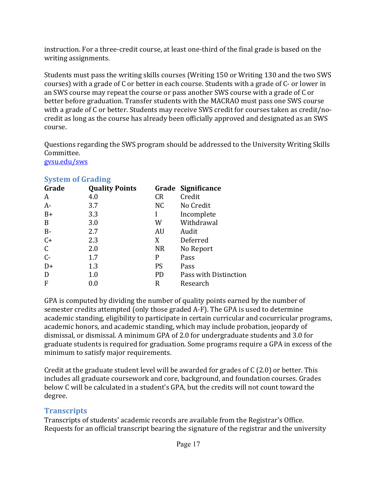instruction. For a three-credit course, at least one-third of the final grade is based on the writing assignments.

Students must pass the writing skills courses (Writing 150 or Writing 130 and the two SWS courses) with a grade of C or better in each course. Students with a grade of C- or lower in an SWS course may repeat the course or pass another SWS course with a grade of C or better before graduation. Transfer students with the MACRAO must pass one SWS course with a grade of C or better. Students may receive SWS credit for courses taken as credit/nocredit as long as the course has already been officially approved and designated as an SWS course.

Questions regarding the SWS program should be addressed to the University Writing Skills Committee.

gvsu.edu/sws

| Grade        | <b>Quality Points</b> |           | Grade Significance    |
|--------------|-----------------------|-----------|-----------------------|
| A            | 4.0                   | <b>CR</b> | Credit                |
| $A-$         | 3.7                   | NC.       | No Credit             |
| $B+$         | 3.3                   |           | Incomplete            |
| B            | 3.0                   | W         | Withdrawal            |
| $B-$         | 2.7                   | AU        | Audit                 |
| $C+$         | 2.3                   | X         | Deferred              |
| $\mathsf{C}$ | 2.0                   | <b>NR</b> | No Report             |
| $C -$        | 1.7                   | P         | Pass                  |
| $D+$         | 1.3                   | <b>PS</b> | Pass                  |
| D            | 1.0                   | <b>PD</b> | Pass with Distinction |
| F            | 0.0                   | R         | Research              |
|              |                       |           |                       |

#### **System of Grading**

GPA is computed by dividing the number of quality points earned by the number of semester credits attempted (only those graded A-F). The GPA is used to determine academic standing, eligibility to participate in certain curricular and cocurricular programs, academic honors, and academic standing, which may include probation, jeopardy of dismissal, or dismissal. A minimum GPA of 2.0 for undergraduate students and 3.0 for graduate students is required for graduation. Some programs require a GPA in excess of the minimum to satisfy major requirements.

Credit at the graduate student level will be awarded for grades of  $C(2.0)$  or better. This includes all graduate coursework and core, background, and foundation courses. Grades below C will be calculated in a student's GPA, but the credits will not count toward the degree.

#### **Transcripts**

Transcripts of students' academic records are available from the Registrar's Office. Requests for an official transcript bearing the signature of the registrar and the university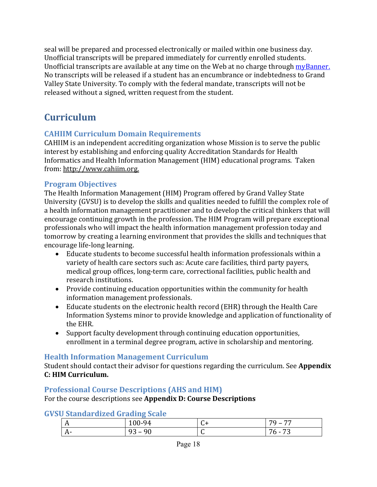seal will be prepared and processed electronically or mailed within one business day. Unofficial transcripts will be prepared immediately for currently enrolled students. Unofficial transcripts are available at any time on the Web at no charge through *myBanner*. No transcripts will be released if a student has an encumbrance or indebtedness to Grand Valley State University. To comply with the federal mandate, transcripts will not be released without a signed, written request from the student.

# **Curriculum**

#### **CAHIIM Curriculum Domain Requirements**

CAHIIM is an independent accrediting organization whose Mission is to serve the public interest by establishing and enforcing quality Accreditation Standards for Health Informatics and Health Information Management (HIM) educational programs. Taken from: http://www.cahiim.org.

#### **Program Objectives**

The Health Information Management (HIM) Program offered by Grand Valley State University (GVSU) is to develop the skills and qualities needed to fulfill the complex role of a health information management practitioner and to develop the critical thinkers that will encourage continuing growth in the profession. The HIM Program will prepare exceptional professionals who will impact the health information management profession today and tomorrow by creating a learning environment that provides the skills and techniques that encourage life-long learning.

- Educate students to become successful health information professionals within a variety of health care sectors such as: Acute care facilities, third party payers, medical group offices, long-term care, correctional facilities, public health and research institutions.
- Provide continuing education opportunities within the community for health information management professionals.
- Educate students on the electronic health record (EHR) through the Health Care Information Systems minor to provide knowledge and application of functionality of the EHR.
- Support faculty development through continuing education opportunities, enrollment in a terminal degree program, active in scholarship and mentoring.

#### **Health Information Management Curriculum**

Student should contact their advisor for questions regarding the curriculum. See **Appendix C: HIM Curriculum.**

#### **Professional Course Descriptions (AHS and HIM)**

For the course descriptions see Appendix D: Course Descriptions

| <b>GVSU Standardized Grading Scale</b> |  |
|----------------------------------------|--|
|                                        |  |

| $\mathbf{A}$        | 100-94                              | $\sqrt{2}$<br>ີ | <b>70</b> .<br>$\overline{a}$ |
|---------------------|-------------------------------------|-----------------|-------------------------------|
| ∸ ∼<br>$\mathbf{u}$ | 90<br>ч<br>$\overline{\phantom{0}}$ | $\sqrt{2}$<br>◡ | $\mathbf{z}$<br>76 -          |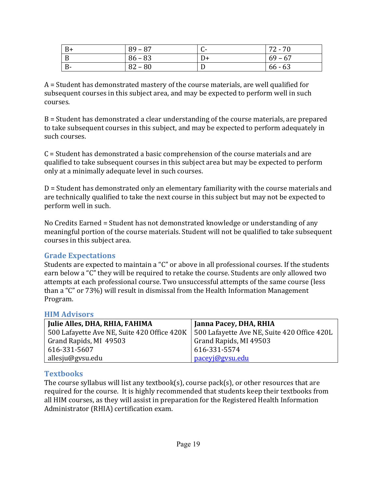| $B+$  | $89 - 87$ | <b>UT</b> | $72 - 70$ |
|-------|-----------|-----------|-----------|
| D     | $86 - 83$ | D+        | $69 - 67$ |
| $B -$ | $82 - 80$ | ◡         | $66 - 63$ |

 $A =$  Student has demonstrated mastery of the course materials, are well qualified for subsequent courses in this subject area, and may be expected to perform well in such courses.

 $B =$  Student has demonstrated a clear understanding of the course materials, are prepared to take subsequent courses in this subject, and may be expected to perform adequately in such courses.

 $C =$  Student has demonstrated a basic comprehension of the course materials and are qualified to take subsequent courses in this subject area but may be expected to perform only at a minimally adequate level in such courses.

 $D =$  Student has demonstrated only an elementary familiarity with the course materials and are technically qualified to take the next course in this subject but may not be expected to perform well in such.

No Credits Earned = Student has not demonstrated knowledge or understanding of any meaningful portion of the course materials. Student will not be qualified to take subsequent courses in this subject area.

#### **Grade Expectations**

Students are expected to maintain a "C" or above in all professional courses. If the students earn below a "C" they will be required to retake the course. Students are only allowed two attempts at each professional course. Two unsuccessful attempts of the same course (less than a "C" or 73%) will result in dismissal from the Health Information Management Program. 

#### **HIM Advisors**

| Julie Alles, DHA, RHIA, FAHIMA              | Janna Pacey, DHA, RHIA                      |
|---------------------------------------------|---------------------------------------------|
| 500 Lafayette Ave NE, Suite 420 Office 420K | 500 Lafayette Ave NE, Suite 420 Office 420L |
| Grand Rapids, MI 49503                      | Grand Rapids, MI 49503                      |
| 616-331-5607                                | 616-331-5574                                |
| allesju@gvsu.edu                            | paceyj@gysu.edu                             |

#### **Textbooks**

The course syllabus will list any textbook(s), course  $pack(s)$ , or other resources that are required for the course. It is highly recommended that students keep their textbooks from all HIM courses, as they will assist in preparation for the Registered Health Information Administrator (RHIA) certification exam.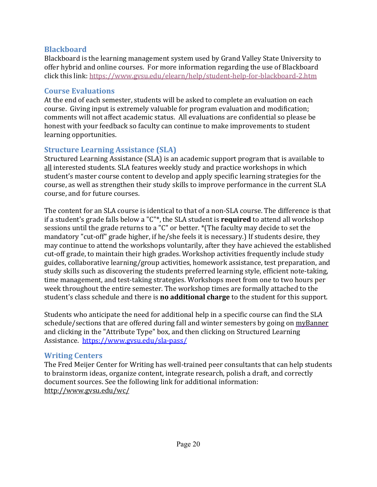#### **Blackboard**

Blackboard is the learning management system used by Grand Valley State University to offer hybrid and online courses. For more information regarding the use of Blackboard click this link: https://www.gvsu.edu/elearn/help/student-help-for-blackboard-2.htm

#### **Course Evaluations**

At the end of each semester, students will be asked to complete an evaluation on each course. Giving input is extremely valuable for program evaluation and modification; comments will not affect academic status. All evaluations are confidential so please be honest with your feedback so faculty can continue to make improvements to student learning opportunities.

#### **Structure Learning Assistance (SLA)**

Structured Learning Assistance (SLA) is an academic support program that is available to all interested students. SLA features weekly study and practice workshops in which student's master course content to develop and apply specific learning strategies for the course, as well as strengthen their study skills to improve performance in the current SLA course, and for future courses.

The content for an SLA course is identical to that of a non-SLA course. The difference is that if a student's grade falls below a "C"\*, the SLA student is **required** to attend all workshop sessions until the grade returns to a "C" or better. \*(The faculty may decide to set the mandatory "cut-off" grade higher, if he/she feels it is necessary.) If students desire, they may continue to attend the workshops voluntarily, after they have achieved the established cut-off grade, to maintain their high grades. Workshop activities frequently include study guides, collaborative learning/group activities, homework assistance, test preparation, and study skills such as discovering the students preferred learning style, efficient note-taking, time management, and test-taking strategies. Workshops meet from one to two hours per week throughout the entire semester. The workshop times are formally attached to the student's class schedule and there is **no additional charge** to the student for this support.

Students who anticipate the need for additional help in a specific course can find the SLA schedule/sections that are offered during fall and winter semesters by going on myBanner and clicking in the "Attribute Type" box, and then clicking on Structured Learning Assistance. https://www.gvsu.edu/sla-pass/

#### **Writing Centers**

The Fred Meijer Center for Writing has well-trained peer consultants that can help students to brainstorm ideas, organize content, integrate research, polish a draft, and correctly document sources. See the following link for additional information: http://www.gvsu.edu/wc/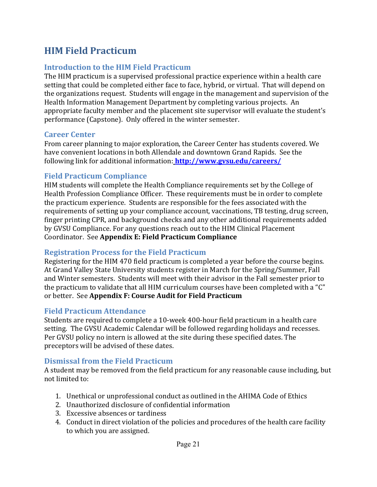# **HIM Field Practicum**

#### **Introduction to the HIM Field Practicum**

The HIM practicum is a supervised professional practice experience within a health care setting that could be completed either face to face, hybrid, or virtual. That will depend on the organizations request. Students will engage in the management and supervision of the Health Information Management Department by completing various projects. An appropriate faculty member and the placement site supervisor will evaluate the student's performance (Capstone). Only offered in the winter semester.

#### **Career Center**

From career planning to major exploration, the Career Center has students covered. We have convenient locations in both Allendale and downtown Grand Rapids. See the following link for additional information: **http://www.gvsu.edu/careers/** 

#### **Field Practicum Compliance**

HIM students will complete the Health Compliance requirements set by the College of Health Profession Compliance Officer. These requirements must be in order to complete the practicum experience. Students are responsible for the fees associated with the requirements of setting up your compliance account, vaccinations, TB testing, drug screen, finger printing CPR, and background checks and any other additional requirements added by GVSU Compliance. For any questions reach out to the HIM Clinical Placement Coordinator. See **Appendix E: Field Practicum Compliance**

#### **Registration Process for the Field Practicum**

Registering for the HIM 470 field practicum is completed a year before the course begins. At Grand Valley State University students register in March for the Spring/Summer, Fall and Winter semesters. Students will meet with their advisor in the Fall semester prior to the practicum to validate that all HIM curriculum courses have been completed with a "C" or better. See Appendix F: Course Audit for Field Practicum

#### **Field Practicum Attendance**

Students are required to complete a 10-week 400-hour field practicum in a health care setting. The GVSU Academic Calendar will be followed regarding holidays and recesses. Per GVSU policy no intern is allowed at the site during these specified dates. The preceptors will be advised of these dates.

#### **Dismissal from the Field Practicum**

A student may be removed from the field practicum for any reasonable cause including, but not limited to:

- 1. Unethical or unprofessional conduct as outlined in the AHIMA Code of Ethics
- 2. Unauthorized disclosure of confidential information
- 3. Excessive absences or tardiness
- 4. Conduct in direct violation of the policies and procedures of the health care facility to which you are assigned.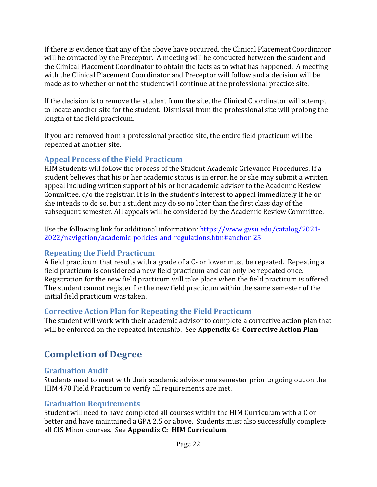If there is evidence that any of the above have occurred, the Clinical Placement Coordinator will be contacted by the Preceptor. A meeting will be conducted between the student and the Clinical Placement Coordinator to obtain the facts as to what has happened. A meeting with the Clinical Placement Coordinator and Preceptor will follow and a decision will be made as to whether or not the student will continue at the professional practice site.

If the decision is to remove the student from the site, the Clinical Coordinator will attempt to locate another site for the student. Dismissal from the professional site will prolong the length of the field practicum.

If you are removed from a professional practice site, the entire field practicum will be repeated at another site.

#### **Appeal Process of the Field Practicum**

HIM Students will follow the process of the Student Academic Grievance Procedures. If a student believes that his or her academic status is in error, he or she may submit a written appeal including written support of his or her academic advisor to the Academic Review Committee,  $c/o$  the registrar. It is in the student's interest to appeal immediately if he or she intends to do so, but a student may do so no later than the first class day of the subsequent semester. All appeals will be considered by the Academic Review Committee.

Use the following link for additional information: https://www.gvsu.edu/catalog/2021-2022/navigation/academic-policies-and-regulations.htm#anchor-25

#### **Repeating the Field Practicum**

A field practicum that results with a grade of a C- or lower must be repeated. Repeating a field practicum is considered a new field practicum and can only be repeated once. Registration for the new field practicum will take place when the field practicum is offered. The student cannot register for the new field practicum within the same semester of the initial field practicum was taken.

#### **Corrective Action Plan for Repeating the Field Practicum**

The student will work with their academic advisor to complete a corrective action plan that will be enforced on the repeated internship. See Appendix G: Corrective Action Plan

# **Completion of Degree**

#### **Graduation Audit**

Students need to meet with their academic advisor one semester prior to going out on the HIM 470 Field Practicum to verify all requirements are met.

#### **Graduation Requirements**

Student will need to have completed all courses within the HIM Curriculum with a C or better and have maintained a GPA 2.5 or above. Students must also successfully complete all CIS Minor courses. See Appendix C: HIM Curriculum.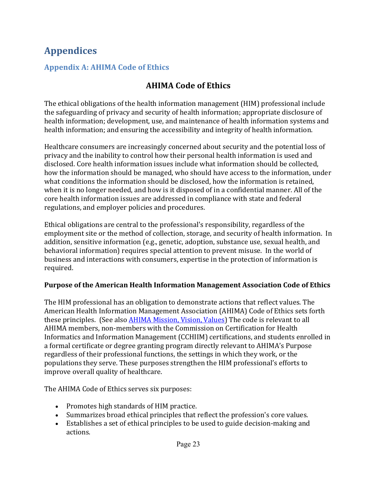# **Appendices**

#### **Appendix A: AHIMA Code of Ethics**

## **AHIMA Code of Ethics**

The ethical obligations of the health information management (HIM) professional include the safeguarding of privacy and security of health information; appropriate disclosure of health information; development, use, and maintenance of health information systems and health information; and ensuring the accessibility and integrity of health information.

Healthcare consumers are increasingly concerned about security and the potential loss of privacy and the inability to control how their personal health information is used and disclosed. Core health information issues include what information should be collected, how the information should be managed, who should have access to the information, under what conditions the information should be disclosed, how the information is retained, when it is no longer needed, and how is it disposed of in a confidential manner. All of the core health information issues are addressed in compliance with state and federal regulations, and employer policies and procedures.

Ethical obligations are central to the professional's responsibility, regardless of the employment site or the method of collection, storage, and security of health information. In addition, sensitive information (e.g., genetic, adoption, substance use, sexual health, and behavioral information) requires special attention to prevent misuse. In the world of business and interactions with consumers, expertise in the protection of information is required.

#### **Purpose of the American Health Information Management Association Code of Ethics**

The HIM professional has an obligation to demonstrate actions that reflect values. The American Health Information Management Association (AHIMA) Code of Ethics sets forth these principles. (See also AHIMA Mission, Vision, Values) The code is relevant to all AHIMA members, non-members with the Commission on Certification for Health Informatics and Information Management (CCHIIM) certifications, and students enrolled in a formal certificate or degree granting program directly relevant to AHIMA's Purpose regardless of their professional functions, the settings in which they work, or the populations they serve. These purposes strengthen the HIM professional's efforts to improve overall quality of healthcare.

The AHIMA Code of Ethics serves six purposes:

- Promotes high standards of HIM practice.
- Summarizes broad ethical principles that reflect the profession's core values.
- Establishes a set of ethical principles to be used to guide decision-making and actions.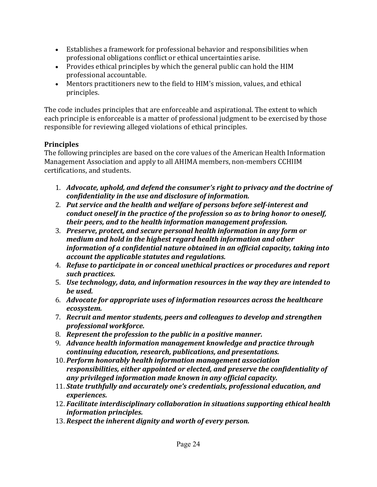- Establishes a framework for professional behavior and responsibilities when professional obligations conflict or ethical uncertainties arise.
- Provides ethical principles by which the general public can hold the HIM professional accountable.
- Mentors practitioners new to the field to HIM's mission, values, and ethical principles.

The code includes principles that are enforceable and aspirational. The extent to which each principle is enforceable is a matter of professional judgment to be exercised by those responsible for reviewing alleged violations of ethical principles.

#### **Principles**

The following principles are based on the core values of the American Health Information Management Association and apply to all AHIMA members, non-members CCHIIM certifications, and students.

- 1. *Advocate, uphold, and defend the consumer's right to privacy and the doctrine of confidentiality in the use and disclosure of information.*
- 2. Put service and the health and welfare of persons before self-interest and *conduct oneself in the practice of the profession so as to bring honor to oneself, their peers, and to the health information management profession.*
- 3. *Preserve, protect, and secure personal health information in any form or medium and hold in the highest regard health information and other information of a confidential nature obtained in an official capacity, taking into account the applicable statutes and regulations.*
- 4. *Refuse to participate in or conceal unethical practices or procedures and report such practices.*
- 5. *Use technology, data, and information resources in the way they are intended to be used.*
- 6. *Advocate for appropriate uses of information resources across the healthcare ecosystem.*
- 7. Recruit and mentor students, peers and colleagues to develop and strengthen *professional workforce.*
- 8. Represent the profession to the public in a positive manner.
- 9. *Advance health information management knowledge and practice through continuing education, research, publications, and presentations.*
- 10. Perform honorably health information management association responsibilities, either appointed or elected, and preserve the confidentiality of *any privileged information made known in any official capacity.*
- 11. *State truthfully and accurately one's credentials, professional education, and experiences.*
- 12. *Facilitate interdisciplinary collaboration in situations supporting ethical health information principles.*
- 13. Respect the inherent dignity and worth of every person.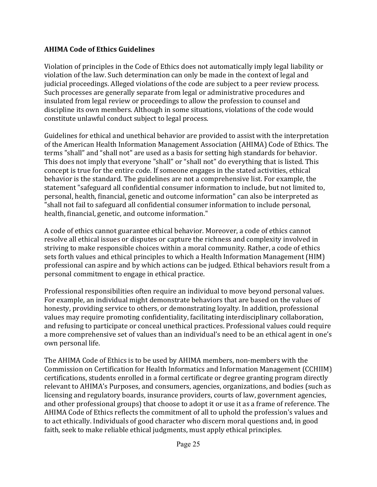#### **AHIMA Code of Ethics Guidelines**

Violation of principles in the Code of Ethics does not automatically imply legal liability or violation of the law. Such determination can only be made in the context of legal and judicial proceedings. Alleged violations of the code are subject to a peer review process. Such processes are generally separate from legal or administrative procedures and insulated from legal review or proceedings to allow the profession to counsel and discipline its own members. Although in some situations, violations of the code would constitute unlawful conduct subject to legal process.

Guidelines for ethical and unethical behavior are provided to assist with the interpretation of the American Health Information Management Association (AHIMA) Code of Ethics. The terms "shall" and "shall not" are used as a basis for setting high standards for behavior. This does not imply that everyone "shall" or "shall not" do everything that is listed. This concept is true for the entire code. If someone engages in the stated activities, ethical behavior is the standard. The guidelines are not a comprehensive list. For example, the statement "safeguard all confidential consumer information to include, but not limited to, personal, health, financial, genetic and outcome information" can also be interpreted as "shall not fail to safeguard all confidential consumer information to include personal, health, financial, genetic, and outcome information."

A code of ethics cannot guarantee ethical behavior. Moreover, a code of ethics cannot resolve all ethical issues or disputes or capture the richness and complexity involved in striving to make responsible choices within a moral community. Rather, a code of ethics sets forth values and ethical principles to which a Health Information Management (HIM) professional can aspire and by which actions can be judged. Ethical behaviors result from a personal commitment to engage in ethical practice.

Professional responsibilities often require an individual to move beyond personal values. For example, an individual might demonstrate behaviors that are based on the values of honesty, providing service to others, or demonstrating loyalty. In addition, professional values may require promoting confidentiality, facilitating interdisciplinary collaboration, and refusing to participate or conceal unethical practices. Professional values could require a more comprehensive set of values than an individual's need to be an ethical agent in one's own personal life.

The AHIMA Code of Ethics is to be used by AHIMA members, non-members with the Commission on Certification for Health Informatics and Information Management (CCHIIM) certifications, students enrolled in a formal certificate or degree granting program directly relevant to AHIMA's Purposes, and consumers, agencies, organizations, and bodies (such as licensing and regulatory boards, insurance providers, courts of law, government agencies, and other professional groups) that choose to adopt it or use it as a frame of reference. The AHIMA Code of Ethics reflects the commitment of all to uphold the profession's values and to act ethically. Individuals of good character who discern moral questions and, in good faith, seek to make reliable ethical judgments, must apply ethical principles.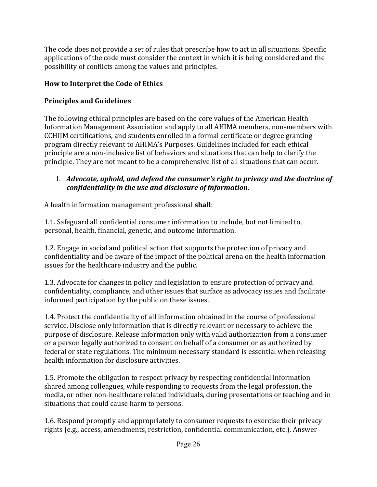The code does not provide a set of rules that prescribe how to act in all situations. Specific applications of the code must consider the context in which it is being considered and the possibility of conflicts among the values and principles.

#### **How to Interpret the Code of Ethics**

#### **Principles and Guidelines**

The following ethical principles are based on the core values of the American Health Information Management Association and apply to all AHIMA members, non-members with CCHIIM certifications, and students enrolled in a formal certificate or degree granting program directly relevant to AHIMA's Purposes. Guidelines included for each ethical principle are a non-inclusive list of behaviors and situations that can help to clarify the principle. They are not meant to be a comprehensive list of all situations that can occur.

#### 1. *Advocate, uphold, and defend the consumer's right to privacy and the doctrine of confidentiality in the use and disclosure of information.*

A health information management professional **shall**:

1.1. Safeguard all confidential consumer information to include, but not limited to, personal, health, financial, genetic, and outcome information.

1.2. Engage in social and political action that supports the protection of privacy and confidentiality and be aware of the impact of the political arena on the health information issues for the healthcare industry and the public.

1.3. Advocate for changes in policy and legislation to ensure protection of privacy and confidentiality, compliance, and other issues that surface as advocacy issues and facilitate informed participation by the public on these issues.

1.4. Protect the confidentiality of all information obtained in the course of professional service. Disclose only information that is directly relevant or necessary to achieve the purpose of disclosure. Release information only with valid authorization from a consumer or a person legally authorized to consent on behalf of a consumer or as authorized by federal or state regulations. The minimum necessary standard is essential when releasing health information for disclosure activities.

1.5. Promote the obligation to respect privacy by respecting confidential information shared among colleagues, while responding to requests from the legal profession, the media, or other non-healthcare related individuals, during presentations or teaching and in situations that could cause harm to persons.

1.6. Respond promptly and appropriately to consumer requests to exercise their privacy rights (e.g., access, amendments, restriction, confidential communication, etc.). Answer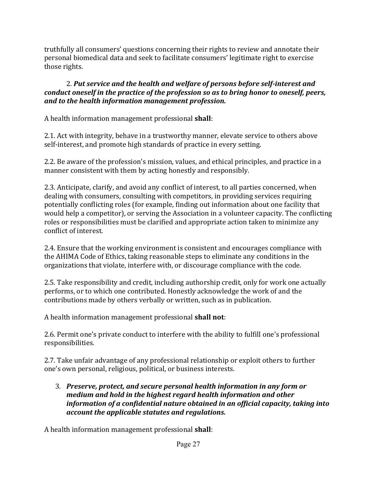truthfully all consumers' questions concerning their rights to review and annotate their personal biomedical data and seek to facilitate consumers' legitimate right to exercise those rights.

#### 2. Put service and the health and welfare of persons before self-interest and *conduct oneself in the practice of the profession so as to bring honor to oneself, peers, and to the health information management profession.*

A health information management professional **shall**:

2.1. Act with integrity, behave in a trustworthy manner, elevate service to others above self-interest, and promote high standards of practice in every setting.

2.2. Be aware of the profession's mission, values, and ethical principles, and practice in a manner consistent with them by acting honestly and responsibly.

2.3. Anticipate, clarify, and avoid any conflict of interest, to all parties concerned, when dealing with consumers, consulting with competitors, in providing services requiring potentially conflicting roles (for example, finding out information about one facility that would help a competitor), or serving the Association in a volunteer capacity. The conflicting roles or responsibilities must be clarified and appropriate action taken to minimize any conflict of interest.

2.4. Ensure that the working environment is consistent and encourages compliance with the AHIMA Code of Ethics, taking reasonable steps to eliminate any conditions in the organizations that violate, interfere with, or discourage compliance with the code.

2.5. Take responsibility and credit, including authorship credit, only for work one actually performs, or to which one contributed. Honestly acknowledge the work of and the contributions made by others verbally or written, such as in publication.

A health information management professional **shall not**:

2.6. Permit one's private conduct to interfere with the ability to fulfill one's professional responsibilities.

2.7. Take unfair advantage of any professional relationship or exploit others to further one's own personal, religious, political, or business interests.

3. Preserve, protect, and secure personal health information in any form or *medium and hold in the highest regard health information and other information of a confidential nature obtained in an official capacity, taking into account the applicable statutes and regulations.* 

A health information management professional **shall**: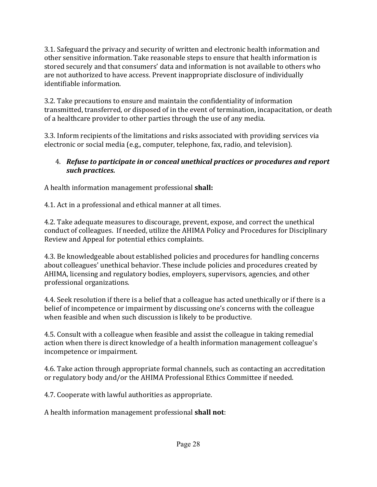3.1. Safeguard the privacy and security of written and electronic health information and other sensitive information. Take reasonable steps to ensure that health information is stored securely and that consumers' data and information is not available to others who are not authorized to have access. Prevent inappropriate disclosure of individually identifiable information.

3.2. Take precautions to ensure and maintain the confidentiality of information transmitted, transferred, or disposed of in the event of termination, incapacitation, or death of a healthcare provider to other parties through the use of any media.

3.3. Inform recipients of the limitations and risks associated with providing services via electronic or social media (e.g., computer, telephone, fax, radio, and television).

#### 4. *Refuse to participate in or conceal unethical practices or procedures and report such practices.*

A health information management professional **shall:** 

4.1. Act in a professional and ethical manner at all times.

4.2. Take adequate measures to discourage, prevent, expose, and correct the unethical conduct of colleagues. If needed, utilize the AHIMA Policy and Procedures for Disciplinary Review and Appeal for potential ethics complaints.

4.3. Be knowledgeable about established policies and procedures for handling concerns about colleagues' unethical behavior. These include policies and procedures created by AHIMA, licensing and regulatory bodies, employers, supervisors, agencies, and other professional organizations.

4.4. Seek resolution if there is a belief that a colleague has acted unethically or if there is a belief of incompetence or impairment by discussing one's concerns with the colleague when feasible and when such discussion is likely to be productive.

4.5. Consult with a colleague when feasible and assist the colleague in taking remedial action when there is direct knowledge of a health information management colleague's incompetence or impairment.

4.6. Take action through appropriate formal channels, such as contacting an accreditation or regulatory body and/or the AHIMA Professional Ethics Committee if needed.

4.7. Cooperate with lawful authorities as appropriate.

A health information management professional **shall not**: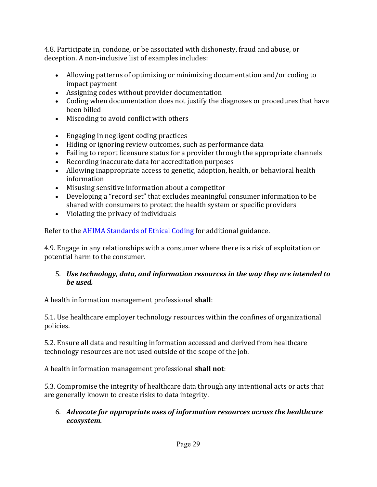4.8. Participate in, condone, or be associated with dishonesty, fraud and abuse, or deception. A non-inclusive list of examples includes:

- Allowing patterns of optimizing or minimizing documentation and/or coding to impact payment
- Assigning codes without provider documentation
- Coding when documentation does not justify the diagnoses or procedures that have been billed
- Miscoding to avoid conflict with others
- $\bullet$  Engaging in negligent coding practices
- Hiding or ignoring review outcomes, such as performance data
- Failing to report licensure status for a provider through the appropriate channels
- Recording inaccurate data for accreditation purposes
- Allowing inappropriate access to genetic, adoption, health, or behavioral health information
- Misusing sensitive information about a competitor
- Developing a "record set" that excludes meaningful consumer information to be shared with consumers to protect the health system or specific providers
- $\bullet$  Violating the privacy of individuals

Refer to the **AHIMA** Standards of Ethical Coding for additional guidance.

4.9. Engage in any relationships with a consumer where there is a risk of exploitation or potential harm to the consumer.

#### 5. *Use technology, data, and information resources in the way they are intended to be used.*

A health information management professional **shall**:

5.1. Use healthcare employer technology resources within the confines of organizational policies.

5.2. Ensure all data and resulting information accessed and derived from healthcare technology resources are not used outside of the scope of the job.

A health information management professional **shall not**:

5.3. Compromise the integrity of healthcare data through any intentional acts or acts that are generally known to create risks to data integrity.

#### 6. *Advocate for appropriate uses of information resources across the healthcare ecosystem.*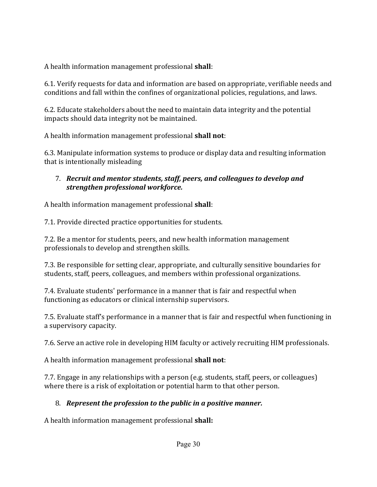A health information management professional **shall**:

6.1. Verify requests for data and information are based on appropriate, verifiable needs and conditions and fall within the confines of organizational policies, regulations, and laws.

6.2. Educate stakeholders about the need to maintain data integrity and the potential impacts should data integrity not be maintained.

A health information management professional **shall not**:

6.3. Manipulate information systems to produce or display data and resulting information that is intentionally misleading

#### 7. Recruit and mentor students, staff, peers, and colleagues to develop and *strengthen professional workforce.*

A health information management professional **shall**:

7.1. Provide directed practice opportunities for students.

7.2. Be a mentor for students, peers, and new health information management professionals to develop and strengthen skills.

7.3. Be responsible for setting clear, appropriate, and culturally sensitive boundaries for students, staff, peers, colleagues, and members within professional organizations.

7.4. Evaluate students' performance in a manner that is fair and respectful when functioning as educators or clinical internship supervisors.

7.5. Evaluate staff's performance in a manner that is fair and respectful when functioning in a supervisory capacity.

7.6. Serve an active role in developing HIM faculty or actively recruiting HIM professionals.

A health information management professional **shall not**:

7.7. Engage in any relationships with a person (e.g. students, staff, peers, or colleagues) where there is a risk of exploitation or potential harm to that other person.

## 8. *Represent the profession to the public in a positive manner.*

A health information management professional **shall:**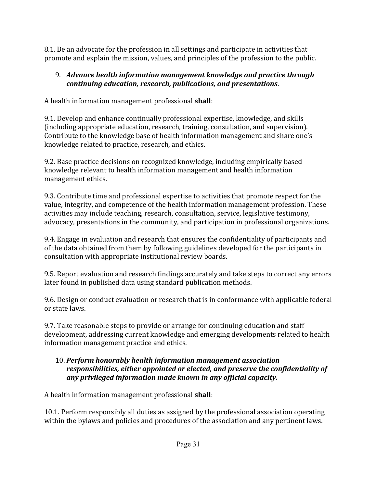8.1. Be an advocate for the profession in all settings and participate in activities that promote and explain the mission, values, and principles of the profession to the public.

#### 9. Advance health information management knowledge and practice through *continuing education, research, publications, and presentations*.

A health information management professional **shall**:

9.1. Develop and enhance continually professional expertise, knowledge, and skills (including appropriate education, research, training, consultation, and supervision). Contribute to the knowledge base of health information management and share one's knowledge related to practice, research, and ethics.

9.2. Base practice decisions on recognized knowledge, including empirically based knowledge relevant to health information management and health information management ethics.

9.3. Contribute time and professional expertise to activities that promote respect for the value, integrity, and competence of the health information management profession. These activities may include teaching, research, consultation, service, legislative testimony, advocacy, presentations in the community, and participation in professional organizations.

9.4. Engage in evaluation and research that ensures the confidentiality of participants and of the data obtained from them by following guidelines developed for the participants in consultation with appropriate institutional review boards.

9.5. Report evaluation and research findings accurately and take steps to correct any errors later found in published data using standard publication methods.

9.6. Design or conduct evaluation or research that is in conformance with applicable federal or state laws.

9.7. Take reasonable steps to provide or arrange for continuing education and staff development, addressing current knowledge and emerging developments related to health information management practice and ethics.

#### 10. Perform honorably health information management association responsibilities, either appointed or elected, and preserve the confidentiality of any privileged information made known in any official capacity.

A health information management professional **shall**:

10.1. Perform responsibly all duties as assigned by the professional association operating within the bylaws and policies and procedures of the association and any pertinent laws.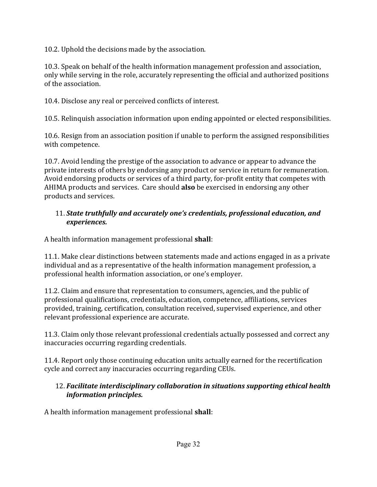10.2. Uphold the decisions made by the association.

10.3. Speak on behalf of the health information management profession and association, only while serving in the role, accurately representing the official and authorized positions of the association.

10.4. Disclose any real or perceived conflicts of interest.

10.5. Relinquish association information upon ending appointed or elected responsibilities.

10.6. Resign from an association position if unable to perform the assigned responsibilities with competence.

10.7. Avoid lending the prestige of the association to advance or appear to advance the private interests of others by endorsing any product or service in return for remuneration. Avoid endorsing products or services of a third party, for-profit entity that competes with AHIMA products and services. Care should **also** be exercised in endorsing any other products and services.

#### 11. *State truthfully and accurately one's credentials, professional education, and experiences.*

A health information management professional **shall**:

11.1. Make clear distinctions between statements made and actions engaged in as a private individual and as a representative of the health information management profession, a professional health information association, or one's employer.

11.2. Claim and ensure that representation to consumers, agencies, and the public of professional qualifications, credentials, education, competence, affiliations, services provided, training, certification, consultation received, supervised experience, and other relevant professional experience are accurate.

11.3. Claim only those relevant professional credentials actually possessed and correct any inaccuracies occurring regarding credentials.

11.4. Report only those continuing education units actually earned for the recertification cycle and correct any inaccuracies occurring regarding CEUs.

#### 12. *Facilitate interdisciplinary collaboration in situations supporting ethical health information principles.*

A health information management professional **shall**: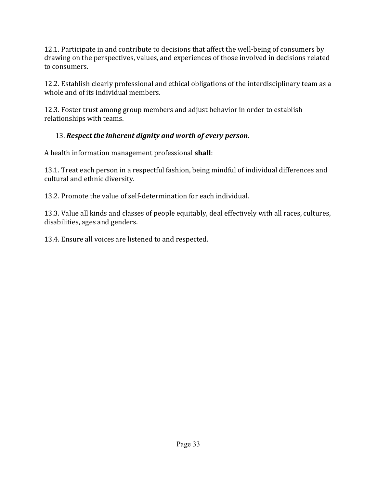12.1. Participate in and contribute to decisions that affect the well-being of consumers by drawing on the perspectives, values, and experiences of those involved in decisions related to consumers.

12.2. Establish clearly professional and ethical obligations of the interdisciplinary team as a whole and of its individual members.

12.3. Foster trust among group members and adjust behavior in order to establish relationships with teams.

#### 13. Respect the inherent dignity and worth of every person.

A health information management professional **shall**:

13.1. Treat each person in a respectful fashion, being mindful of individual differences and cultural and ethnic diversity.

13.2. Promote the value of self-determination for each individual.

13.3. Value all kinds and classes of people equitably, deal effectively with all races, cultures, disabilities, ages and genders.

13.4. Ensure all voices are listened to and respected.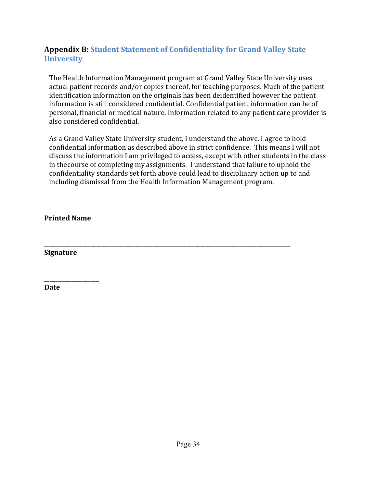## **Appendix B: Student Statement of Confidentiality for Grand Valley State University**

The Health Information Management program at Grand Valley State University uses actual patient records and/or copies thereof, for teaching purposes. Much of the patient identification information on the originals has been deidentified however the patient information is still considered confidential. Confidential patient information can be of personal, financial or medical nature. Information related to any patient care provider is also considered confidential.

As a Grand Valley State University student, I understand the above. I agree to hold confidential information as described above in strict confidence. This means I will not discuss the information I am privileged to access, except with other students in the class in the course of completing my assignments. I understand that failure to uphold the confidentiality standards set forth above could lead to disciplinary action up to and including dismissal from the Health Information Management program.

\_\_\_\_\_\_\_\_\_\_\_\_\_\_\_\_\_\_\_\_\_\_\_\_\_\_\_\_\_\_\_\_\_\_\_\_\_\_\_\_\_\_\_\_\_\_\_\_\_\_\_\_\_\_\_\_\_\_\_\_\_\_\_\_\_\_\_\_\_\_\_\_\_\_\_\_\_\_\_\_\_\_\_\_\_\_\_\_\_\_ 

**Printed Name**

\_\_\_\_\_\_\_\_\_\_\_\_\_\_\_\_\_\_\_\_

**Signature**

**Date**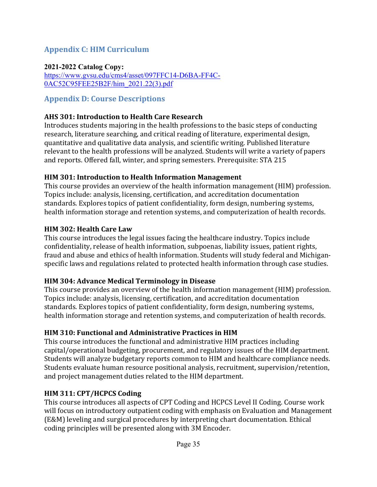### **Appendix C: HIM Curriculum**

#### **2021-2022 Catalog Copy:**

https://www.gvsu.edu/cms4/asset/097FFC14-D6BA-FF4C-0AC52C95FEE25B2F/him\_2021.22(3).pdf

#### **Appendix D: Course Descriptions**

#### **AHS 301: Introduction to Health Care Research**

Introduces students majoring in the health professions to the basic steps of conducting research, literature searching, and critical reading of literature, experimental design, quantitative and qualitative data analysis, and scientific writing. Published literature relevant to the health professions will be analyzed. Students will write a variety of papers and reports. Offered fall, winter, and spring semesters. Prerequisite: STA 215

#### **HIM 301: Introduction to Health Information Management**

This course provides an overview of the health information management (HIM) profession. Topics include: analysis, licensing, certification, and accreditation documentation standards. Explores topics of patient confidentiality, form design, numbering systems, health information storage and retention systems, and computerization of health records.

#### **HIM 302: Health Care Law**

This course introduces the legal issues facing the healthcare industry. Topics include confidentiality, release of health information, subpoenas, liability issues, patient rights, fraud and abuse and ethics of health information. Students will study federal and Michiganspecific laws and regulations related to protected health information through case studies.

#### **HIM 304: Advance Medical Terminology in Disease**

This course provides an overview of the health information management (HIM) profession. Topics include: analysis, licensing, certification, and accreditation documentation standards. Explores topics of patient confidentiality, form design, numbering systems, health information storage and retention systems, and computerization of health records.

#### **HIM 310: Functional and Administrative Practices in HIM**

This course introduces the functional and administrative HIM practices including capital/operational budgeting, procurement, and regulatory issues of the HIM department. Students will analyze budgetary reports common to HIM and healthcare compliance needs. Students evaluate human resource positional analysis, recruitment, supervision/retention, and project management duties related to the HIM department.

#### **HIM 311: CPT/HCPCS Coding**

This course introduces all aspects of CPT Coding and HCPCS Level II Coding. Course work will focus on introductory outpatient coding with emphasis on Evaluation and Management (E&M) leveling and surgical procedures by interpreting chart documentation. Ethical coding principles will be presented along with 3M Encoder.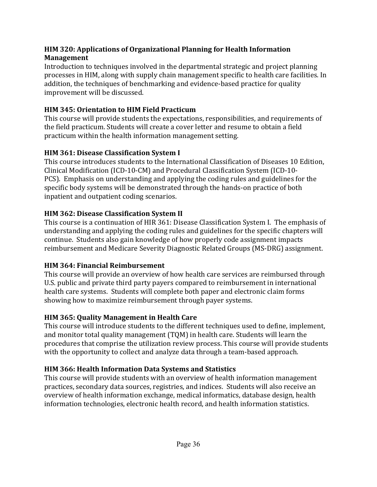#### **HIM 320: Applications of Organizational Planning for Health Information Management**

Introduction to techniques involved in the departmental strategic and project planning processes in HIM, along with supply chain management specific to health care facilities. In addition, the techniques of benchmarking and evidence-based practice for quality improvement will be discussed.

#### **HIM 345: Orientation to HIM Field Practicum**

This course will provide students the expectations, responsibilities, and requirements of the field practicum. Students will create a cover letter and resume to obtain a field practicum within the health information management setting.

#### **HIM 361: Disease Classification System I**

This course introduces students to the International Classification of Diseases 10 Edition, Clinical Modification (ICD-10-CM) and Procedural Classification System (ICD-10-PCS). Emphasis on understanding and applying the coding rules and guidelines for the specific body systems will be demonstrated through the hands-on practice of both inpatient and outpatient coding scenarios.

#### **HIM 362: Disease Classification System II**

This course is a continuation of HIR 361: Disease Classification System I. The emphasis of understanding and applying the coding rules and guidelines for the specific chapters will continue. Students also gain knowledge of how properly code assignment impacts reimbursement and Medicare Severity Diagnostic Related Groups (MS-DRG) assignment.

#### **HIM 364: Financial Reimbursement**

This course will provide an overview of how health care services are reimbursed through U.S. public and private third party payers compared to reimbursement in international health care systems. Students will complete both paper and electronic claim forms showing how to maximize reimbursement through payer systems.

#### **HIM 365: Quality Management in Health Care**

This course will introduce students to the different techniques used to define, implement, and monitor total quality management (TQM) in health care. Students will learn the procedures that comprise the utilization review process. This course will provide students with the opportunity to collect and analyze data through a team-based approach.

#### **HIM 366: Health Information Data Systems and Statistics**

This course will provide students with an overview of health information management practices, secondary data sources, registries, and indices. Students will also receive an overview of health information exchange, medical informatics, database design, health information technologies, electronic health record, and health information statistics.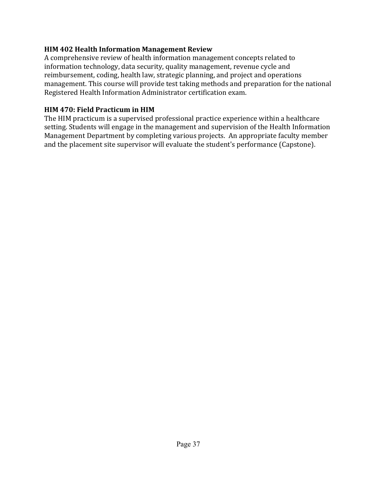#### **HIM 402 Health Information Management Review**

A comprehensive review of health information management concepts related to information technology, data security, quality management, revenue cycle and reimbursement, coding, health law, strategic planning, and project and operations management. This course will provide test taking methods and preparation for the national Registered Health Information Administrator certification exam.

#### **HIM 470: Field Practicum in HIM**

The HIM practicum is a supervised professional practice experience within a healthcare setting. Students will engage in the management and supervision of the Health Information Management Department by completing various projects. An appropriate faculty member and the placement site supervisor will evaluate the student's performance (Capstone).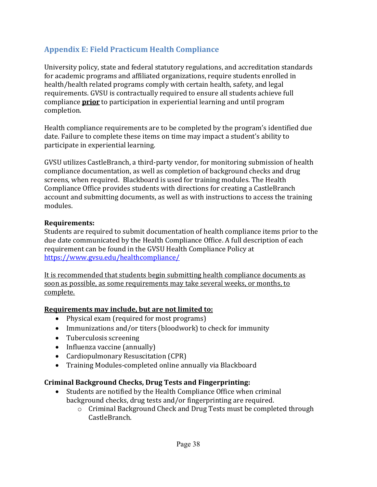## **Appendix E: Field Practicum Health Compliance**

University policy, state and federal statutory regulations, and accreditation standards for academic programs and affiliated organizations, require students enrolled in health/health related programs comply with certain health, safety, and legal requirements. GVSU is contractually required to ensure all students achieve full compliance **prior** to participation in experiential learning and until program completion.

Health compliance requirements are to be completed by the program's identified due date. Failure to complete these items on time may impact a student's ability to participate in experiential learning.

GVSU utilizes CastleBranch, a third-party vendor, for monitoring submission of health compliance documentation, as well as completion of background checks and drug screens, when required. Blackboard is used for training modules. The Health Compliance Office provides students with directions for creating a CastleBranch account and submitting documents, as well as with instructions to access the training modules.

#### **Requirements:**

Students are required to submit documentation of health compliance items prior to the due date communicated by the Health Compliance Office. A full description of each requirement can be found in the GVSU Health Compliance Policy at https://www.gvsu.edu/healthcompliance/

It is recommended that students begin submitting health compliance documents as soon as possible, as some requirements may take several weeks, or months, to complete.

#### **Requirements may include, but are not limited to:**

- Physical exam (required for most programs)
- Immunizations and/or titers (bloodwork) to check for immunity
- Tuberculosis screening
- Influenza vaccine (annually)
- Cardiopulmonary Resuscitation (CPR)
- Training Modules-completed online annually via Blackboard

#### **Criminal Background Checks, Drug Tests and Fingerprinting:**

- Students are notified by the Health Compliance Office when criminal background checks, drug tests and/or fingerprinting are required.
	- $\circ$  Criminal Background Check and Drug Tests must be completed through CastleBranch.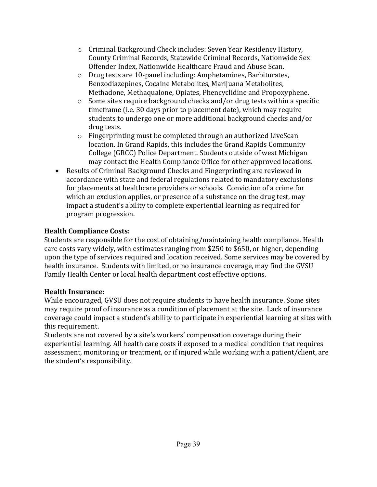- $\circ$  Criminal Background Check includes: Seven Year Residency History, County Criminal Records, Statewide Criminal Records, Nationwide Sex Offender Index, Nationwide Healthcare Fraud and Abuse Scan.
- $\circ$  Drug tests are 10-panel including: Amphetamines, Barbiturates, Benzodiazepines, Cocaine Metabolites, Marijuana Metabolites, Methadone, Methaqualone, Opiates, Phencyclidine and Propoxyphene.
- $\circ$  Some sites require background checks and/or drug tests within a specific timeframe (i.e. 30 days prior to placement date), which may require students to undergo one or more additional background checks and/or drug tests.
- $\circ$  Fingerprinting must be completed through an authorized LiveScan location. In Grand Rapids, this includes the Grand Rapids Community College (GRCC) Police Department. Students outside of west Michigan may contact the Health Compliance Office for other approved locations.
- Results of Criminal Background Checks and Fingerprinting are reviewed in accordance with state and federal regulations related to mandatory exclusions for placements at healthcare providers or schools. Conviction of a crime for which an exclusion applies, or presence of a substance on the drug test, may impact a student's ability to complete experiential learning as required for program progression.

#### **Health Compliance Costs:**

Students are responsible for the cost of obtaining/maintaining health compliance. Health care costs vary widely, with estimates ranging from \$250 to \$650, or higher, depending upon the type of services required and location received. Some services may be covered by health insurance. Students with limited, or no insurance coverage, may find the GVSU Family Health Center or local health department cost effective options.

#### **Health Insurance:**

While encouraged, GVSU does not require students to have health insurance. Some sites may require proof of insurance as a condition of placement at the site. Lack of insurance coverage could impact a student's ability to participate in experiential learning at sites with this requirement.

Students are not covered by a site's workers' compensation coverage during their experiential learning. All health care costs if exposed to a medical condition that requires assessment, monitoring or treatment, or if injured while working with a patient/client, are the student's responsibility.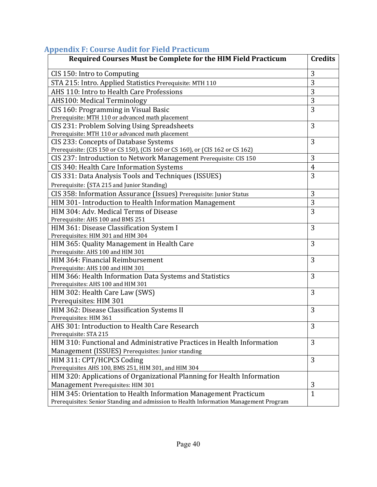# **Appendix F: Course Audit for Field Practicum**

| Required Courses Must be Complete for the HIM Field Practicum                                                                                            | <b>Credits</b> |
|----------------------------------------------------------------------------------------------------------------------------------------------------------|----------------|
| CIS 150: Intro to Computing                                                                                                                              | 3              |
| STA 215: Intro. Applied Statistics Prerequisite: MTH 110                                                                                                 | 3              |
| AHS 110: Intro to Health Care Professions                                                                                                                | 3              |
| <b>AHS100: Medical Terminology</b>                                                                                                                       | 3              |
| CIS 160: Programming in Visual Basic                                                                                                                     | 3              |
| Prerequisite: MTH 110 or advanced math placement                                                                                                         |                |
| CIS 231: Problem Solving Using Spreadsheets                                                                                                              | 3              |
| Prerequisite: MTH 110 or advanced math placement                                                                                                         |                |
| CIS 233: Concepts of Database Systems                                                                                                                    | 3              |
| Prerequisite: (CIS 150 or CS 150), (CIS 160 or CS 160), or (CIS 162 or CS 162)                                                                           |                |
| CIS 237: Introduction to Network Management Prerequisite: CIS 150                                                                                        | 3              |
| CIS 340: Health Care Information Systems                                                                                                                 | 4              |
| CIS 331: Data Analysis Tools and Techniques (ISSUES)                                                                                                     | 3              |
| Prerequisite: (STA 215 and Junior Standing)                                                                                                              |                |
| CIS 358: Information Assurance (Issues) Prerequisite: Junior Status                                                                                      | 3              |
| HIM 301- Introduction to Health Information Management                                                                                                   | 3              |
| HIM 304: Adv. Medical Terms of Disease                                                                                                                   | 3              |
| Prerequisite: AHS 100 and BMS 251                                                                                                                        |                |
| HIM 361: Disease Classification System I                                                                                                                 | 3              |
| Prerequisites: HIM 301 and HIM 304                                                                                                                       |                |
| HIM 365: Quality Management in Health Care                                                                                                               | 3              |
| Prerequisite: AHS 100 and HIM 301                                                                                                                        |                |
| HIM 364: Financial Reimbursement                                                                                                                         | 3              |
| Prerequisite: AHS 100 and HIM 301                                                                                                                        |                |
| HIM 366: Health Information Data Systems and Statistics                                                                                                  | 3              |
| Prerequisites: AHS 100 and HIM 301                                                                                                                       |                |
| HIM 302: Health Care Law (SWS)                                                                                                                           | 3              |
| Prerequisites: HIM 301                                                                                                                                   |                |
| HIM 362: Disease Classification Systems II                                                                                                               | 3              |
| Prerequisites: HIM 361                                                                                                                                   |                |
| AHS 301: Introduction to Health Care Research                                                                                                            | 3              |
| Prerequisite: STA 215<br>HIM 310: Functional and Administrative Practices in Health Information                                                          | 3              |
|                                                                                                                                                          |                |
| Management (ISSUES) Prerequisites: Junior standing                                                                                                       | 3              |
| HIM 311: CPT/HCPCS Coding                                                                                                                                |                |
| Prerequisites AHS 100, BMS 251, HIM 301, and HIM 304                                                                                                     |                |
| HIM 320: Applications of Organizational Planning for Health Information                                                                                  | 3              |
| Management Prerequisites: HIM 301                                                                                                                        | $\mathbf{1}$   |
| HIM 345: Orientation to Health Information Management Practicum<br>Prerequisites: Senior Standing and admission to Health Information Management Program |                |
|                                                                                                                                                          |                |